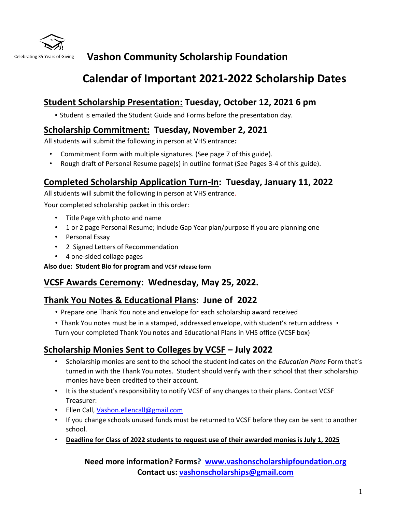

# Celebrating 35 Years of Giving **Vashon Community Scholarship Foundation**

# **Calendar of Important 2021-2022 Scholarship Dates**

## **Student Scholarship Presentation: Tuesday, October 12, 2021 6 pm**

• Student is emailed the Student Guide and Forms before the presentation day.

## **Scholarship Commitment: Tuesday, November 2, 2021**

All students will submit the following in person at VHS entrance**:** 

- Commitment Form with multiple signatures. (See page 7 of this guide).
- Rough draft of Personal Resume page(s) in outline format (See Pages 3-4 of this guide).

## **Completed Scholarship Application Turn-In: Tuesday, January 11, 2022**

All students will submit the following in person at VHS entrance.

Your completed scholarship packet in this order:

- Title Page with photo and name
- 1 or 2 page Personal Resume; include Gap Year plan/purpose if you are planning one
- Personal Essay
- 2 Signed Letters of Recommendation
- 4 one-sided collage pages

**Also due: Student Bio for program and VCSF release form** 

## **VCSF Awards Ceremony: Wednesday, May 25, 2022.**

## **Thank You Notes & Educational Plans: June of 2022**

- Prepare one Thank You note and envelope for each scholarship award received
- Thank You notes must be in a stamped, addressed envelope, with student's return address •

Turn your completed Thank You notes and Educational Plans in VHS office (VCSF box)

## **Scholarship Monies Sent to Colleges by VCSF – July 2022**

- Scholarship monies are sent to the school the student indicates on the *Education Plans* Form that's turned in with the Thank You notes. Student should verify with their school that their scholarship monies have been credited to their account.
- It is the student's responsibility to notify VCSF of any changes to their plans. Contact VCSF Treasurer:
- Ellen Call, Vashon.ellencall@gmail.com
- If you change schools unused funds must be returned to VCSF before they can be sent to another school.
- **Deadline for Class of 2022 students to request use of their awarded monies is July 1, 2025**

## **Need more information? Forms? [www.vashonscholarshipfoundation.org](http://www.vashonscholarshipfoundation.org/) Contact us: vashonscholarships@gmail.com**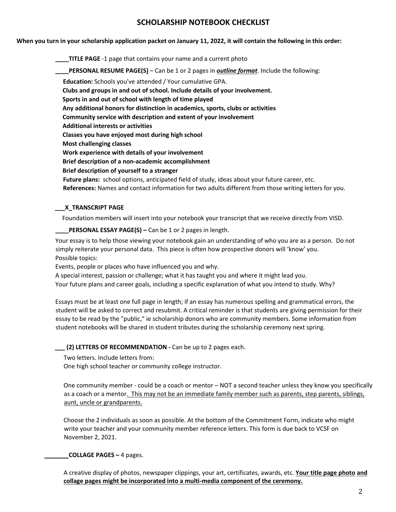### **SCHOLARSHIP NOTEBOOK CHECKLIST**

**When you turn in your scholarship application packet on January 11, 2022, it will contain the following in this order:** 

**\_\_\_\_TITLE PAGE** -1 page that contains your name and a current photo **PERSONAL RESUME PAGE(S)** – Can be 1 or 2 pages in *outline format*. Include the following:  **Education:** Schools you've attended / Your cumulative GPA.  **Clubs and groups in and out of school. Include details of your involvement. Sports in and out of school with length of time played Any additional honors for distinction in academics, sports, clubs or activities Community service with description and extent of your involvement Additional interests or activities Classes you have enjoyed most during high school Most challenging classes Work experience with details of your involvement Brief description of a non-academic accomplishment Brief description of yourself to a stranger Future plans:** school options, anticipated field of study, ideas about your future career, etc.

#### **\_\_\_X\_TRANSCRIPT PAGE**

Foundation members will insert into your notebook your transcript that we receive directly from VISD.

 **References:** Names and contact information for two adults different from those writing letters for you.

**\_\_\_\_PERSONAL ESSAY PAGE(S) –** Can be 1 or 2 pages in length.

Your essay is to help those viewing your notebook gain an understanding of who you are as a person. Do not simply reiterate your personal data. This piece is often how prospective donors will 'know' you. Possible topics:

Events, people or places who have influenced you and why.

A special interest, passion or challenge; what it has taught you and where it might lead you.

Your future plans and career goals, including a specific explanation of what you intend to study. Why?

Essays must be at least one full page in length; if an essay has numerous spelling and grammatical errors, the student will be asked to correct and resubmit. A critical reminder is that students are giving permission for their essay to be read by the "public," ie scholarship donors who are community members. Some information from student notebooks will be shared in student tributes during the scholarship ceremony next spring.

**\_\_\_ (2) LETTERS OF RECOMMENDATION -** Can be up to 2 pages each.

Two letters. Include letters from:

One high school teacher or community college instructor.

One community member - could be a coach or mentor – NOT a second teacher unless they know you specifically as a coach or a mentor. This may not be an immediate family member such as parents, step parents, siblings, aunt, uncle or grandparents.

Choose the 2 individuals as soon as possible. At the bottom of the Commitment Form, indicate who might write your teacher and your community member reference letters. This form is due back to VCSF on November 2, 2021.

#### **COLLAGE PAGES –** 4 pages.

A creative display of photos, newspaper clippings, your art, certificates, awards, etc. **Your title page photo and collage pages might be incorporated into a multi-media component of the ceremony.**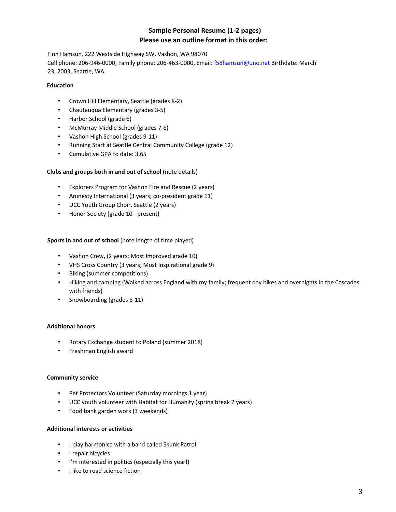### **Sample Personal Resume (1-2 pages) Please use an outline format in this order:**

Finn Hamsun, 222 Westside Highway SW, Vashon, WA 98070 Cell phone: 206-946-0000, Family phone: 206-463-0000, Email: f58hamsun@uno.net Birthdate: March 23, 2003, Seattle, WA

#### **Education**

- Crown Hill Elementary, Seattle (grades K-2)
- Chautauqua Elementary (grades 3-5)
- Harbor School (grade 6)
- McMurray Middle School (grades 7-8)
- Vashon High School (grades 9-11)
- Running Start at Seattle Central Community College (grade 12)
- Cumulative GPA to date: 3.65

#### **Clubs and groups both in and out of school** (note details)

- Explorers Program for Vashon Fire and Rescue (2 years)
- Amnesty International (3 years; co-president grade 11)
- UCC Youth Group Choir, Seattle (2 years)
- Honor Society (grade 10 present)

#### **Sports in and out of school** (note length of time played)

- Vashon Crew, (2 years; Most Improved grade 10)
- VHS Cross Country (3 years; Most Inspirational grade 9)
- Biking (summer competitions)
- Hiking and camping (Walked across England with my family; frequent day hikes and overnights in the Cascades with friends)
- Snowboarding (grades 8-11)

#### **Additional honors**

- Rotary Exchange student to Poland (summer 2018)
- Freshman English award

#### **Community service**

- Pet Protectors Volunteer (Saturday mornings 1 year)
- UCC youth volunteer with Habitat for Humanity (spring break 2 years)
- Food bank garden work (3 weekends)

#### **Additional interests or activities**

- I play harmonica with a band called Skunk Patrol
- I repair bicycles
- I'm interested in politics (especially this year!)
- I like to read science fiction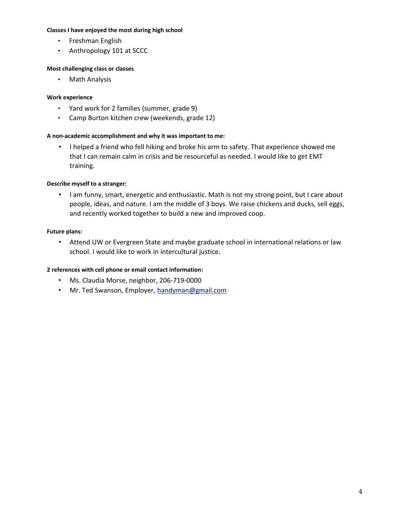#### **Classes I have enjoyed the most during high school**

- Freshman English
- Anthropology 101 at SCCC

#### **Most challenging class or classes**

• Math Analysis

#### **Work experience**

- Yard work for 2 families (summer, grade 9)
- Camp Burton kitchen crew (weekends, grade 12)

#### **A non-academic accomplishment and why it was important to me:**

• I helped a friend who fell hiking and broke his arm to safety. That experience showed me that I can remain calm in crisis and be resourceful as needed. I would like to get EMT training.

#### **Describe myself to a stranger:**

• I am funny, smart, energetic and enthusiastic. Math is not my strong point, but I care about people, ideas, and nature. I am the middle of 3 boys. We raise chickens and ducks, sell eggs, and recently worked together to build a new and improved coop.

#### **Future plans:**

• Attend UW or Evergreen State and maybe graduate school in international relations or law school. I would like to work in intercultural justice.

#### **2 references with cell phone or email contact information:**

- Ms. Claudia Morse, neighbor, 206-719-0000
- Mr. Ted Swanson, Employer, handyman@gmail.com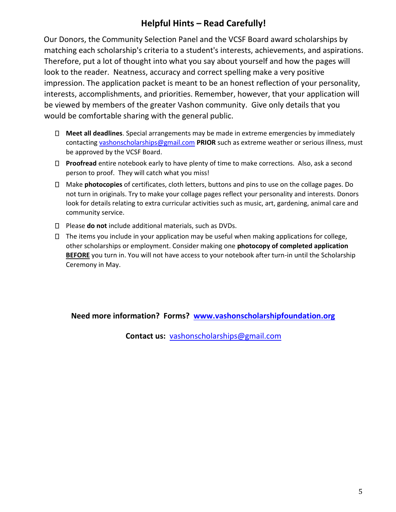## **Helpful Hints – Read Carefully!**

Our Donors, the Community Selection Panel and the VCSF Board award scholarships by matching each scholarship's criteria to a student's interests, achievements, and aspirations. Therefore, put a lot of thought into what you say about yourself and how the pages will look to the reader. Neatness, accuracy and correct spelling make a very positive impression. The application packet is meant to be an honest reflection of your personality, interests, accomplishments, and priorities. Remember, however, that your application will be viewed by members of the greater Vashon community. Give only details that you would be comfortable sharing with the general public.

- **Meet all deadlines**. Special arrangements may be made in extreme emergencies by immediately contacting vashonscholarships@gmail.com **PRIOR** such as extreme weather or serious illness, must be approved by the VCSF Board.
- **Proofread** entire notebook early to have plenty of time to make corrections. Also, ask a second person to proof. They will catch what you miss!
- Make **photocopies** of certificates, cloth letters, buttons and pins to use on the collage pages. Do not turn in originals. Try to make your collage pages reflect your personality and interests. Donors look for details relating to extra curricular activities such as music, art, gardening, animal care and community service.
- Please **do not** include additional materials, such as DVDs.
- $\Box$  The items you include in your application may be useful when making applications for college, other scholarships or employment. Consider making one **photocopy of completed application BEFORE** you turn in. You will not have access to your notebook after turn-in until the Scholarship Ceremony in May.

### **Need more information? Forms? [www.vashonscholarshipfoundation.org](http://www.vashonscholarshipfoundation.org/)**

**Contact us:** vashonscholarships@gmail.com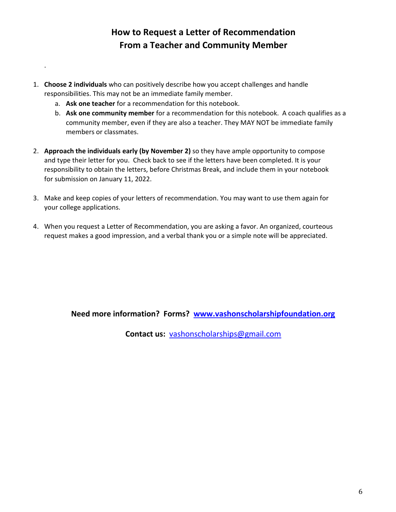## **How to Request a Letter of Recommendation From a Teacher and Community Member**

- 1. **Choose 2 individuals** who can positively describe how you accept challenges and handle responsibilities. This may not be an immediate family member.
	- a. **Ask one teacher** for a recommendation for this notebook.

.

- b. **Ask one community member** for a recommendation for this notebook. A coach qualifies as a community member, even if they are also a teacher. They MAY NOT be immediate family members or classmates.
- 2. **Approach the individuals early (by November 2)** so they have ample opportunity to compose and type their letter for you. Check back to see if the letters have been completed. It is your responsibility to obtain the letters, before Christmas Break, and include them in your notebook for submission on January 11, 2022.
- 3. Make and keep copies of your letters of recommendation. You may want to use them again for your college applications.
- 4. When you request a Letter of Recommendation, you are asking a favor. An organized, courteous request makes a good impression, and a verbal thank you or a simple note will be appreciated.

### **Need more information? Forms? [www.vashonscholarshipfoundation.org](http://www.vashonscholarshipfoundation.org/)**

**Contact us:** vashonscholarships@gmail.com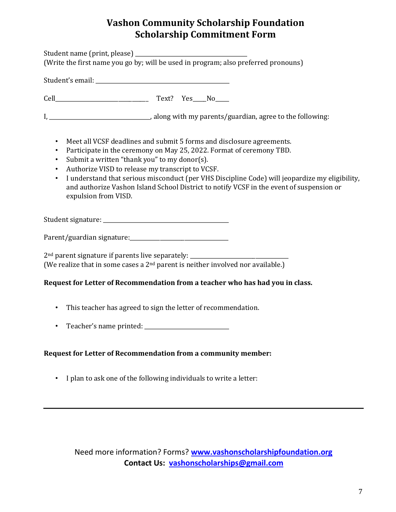## **Vashon Community Scholarship Foundation Scholarship Commitment Form**

Student name (print, please) \_\_\_\_\_\_\_\_\_\_\_\_\_\_\_\_\_\_\_\_\_\_\_\_\_\_\_\_\_\_\_\_\_\_\_\_\_\_\_\_\_ (Write the first name you go by; will be used in program; also preferred pronouns) Student's email:  $\blacksquare$ Cell\_\_\_\_\_\_\_\_\_\_\_\_\_\_\_\_\_\_\_\_\_\_\_\_\_\_\_\_\_\_\_\_\_\_ Text? Yes\_\_\_\_\_No\_\_\_\_\_ I, \_\_\_\_\_\_\_\_\_\_\_\_\_\_\_\_\_\_\_\_\_\_\_\_\_\_\_\_\_\_\_\_\_\_\_\_\_, along with my parents/guardian, agree to the following: • Meet all VCSF deadlines and submit 5 forms and disclosure agreements. • Participate in the ceremony on May 25, 2022. Format of ceremony TBD. • Submit a written "thank you" to my donor(s). • Authorize VISD to release my transcript to VCSF. • I understand that serious misconduct (per VHS Discipline Code) will jeopardize my eligibility, and authorize Vashon Island School District to notify VCSF in the event of suspension or expulsion from VISD. Student signature: \_\_\_\_\_\_\_\_\_\_\_\_\_\_\_\_\_\_\_\_\_\_\_\_\_\_\_\_\_\_\_\_\_\_\_\_\_\_\_\_\_\_\_\_\_\_ Parent/guardian signature:\_\_\_\_\_\_\_\_\_\_\_\_\_\_\_\_\_\_\_\_\_\_\_\_\_\_\_\_\_\_\_\_\_\_\_\_  $2<sup>nd</sup>$  parent signature if parents live separately: (We realize that in some cases a  $2<sup>nd</sup>$  parent is neither involved nor available.) **Request for Letter of Recommendation from a teacher who has had you in class.**  • This teacher has agreed to sign the letter of recommendation.

• Teacher's name printed:

### **Request for Letter of Recommendation from a community member:**

• I plan to ask one of the following individuals to write a letter:

Need more information? Forms? **[www.vashonscholarshipfoundation.org](http://www.vashonscholarshipfoundation.org/)  Contact Us: vashonscholarships@gmail.com**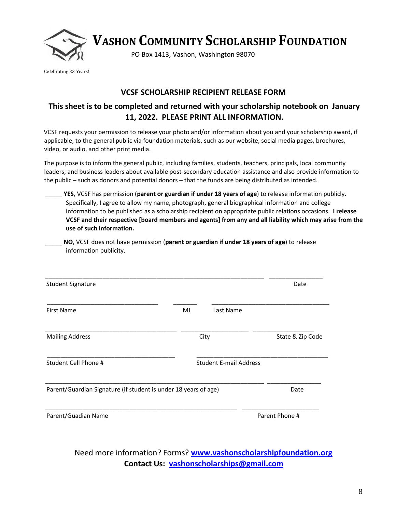

**VASHON COMMUNITY SCHOLARSHIP FOUNDATION** 

PO Box 1413, Vashon, Washington 98070

Celebrating 33 Years!

### **VCSF SCHOLARSHIP RECIPIENT RELEASE FORM**

## **This sheet is to be completed and returned with your scholarship notebook on January 11, 2022. PLEASE PRINT ALL INFORMATION.**

VCSF requests your permission to release your photo and/or information about you and your scholarship award, if applicable, to the general public via foundation materials, such as our website, social media pages, brochures, video, or audio, and other print media.

The purpose is to inform the general public, including families, students, teachers, principals, local community leaders, and business leaders about available post-secondary education assistance and also provide information to the public – such as donors and potential donors – that the funds are being distributed as intended.

\_\_\_\_\_ **YES**, VCSF has permission (**parent or guardian if under 18 years of age**) to release information publicly. Specifically, I agree to allow my name, photograph, general biographical information and college information to be published as a scholarship recipient on appropriate public relations occasions. **I release VCSF and their respective [board members and agents] from any and all liability which may arise from the use of such information.**

\_\_\_\_\_ **NO**, VCSF does not have permission (**parent or guardian if under 18 years of age**) to release information publicity.

| <b>Student Signature</b>                                        |                               |           | Date             |
|-----------------------------------------------------------------|-------------------------------|-----------|------------------|
| <b>First Name</b>                                               | MI                            | Last Name |                  |
| <b>Mailing Address</b>                                          | City                          |           | State & Zip Code |
| Student Cell Phone #                                            | <b>Student E-mail Address</b> |           |                  |
| Parent/Guardian Signature (if student is under 18 years of age) |                               |           | Date             |
| Parent/Guadian Name                                             |                               |           | Parent Phone #   |

Need more information? Forms? **[www.vashonscholarshipfoundation.org](http://www.vashonscholarshipfoundation.org/) Contact Us: vashonscholarships@gmail.com**